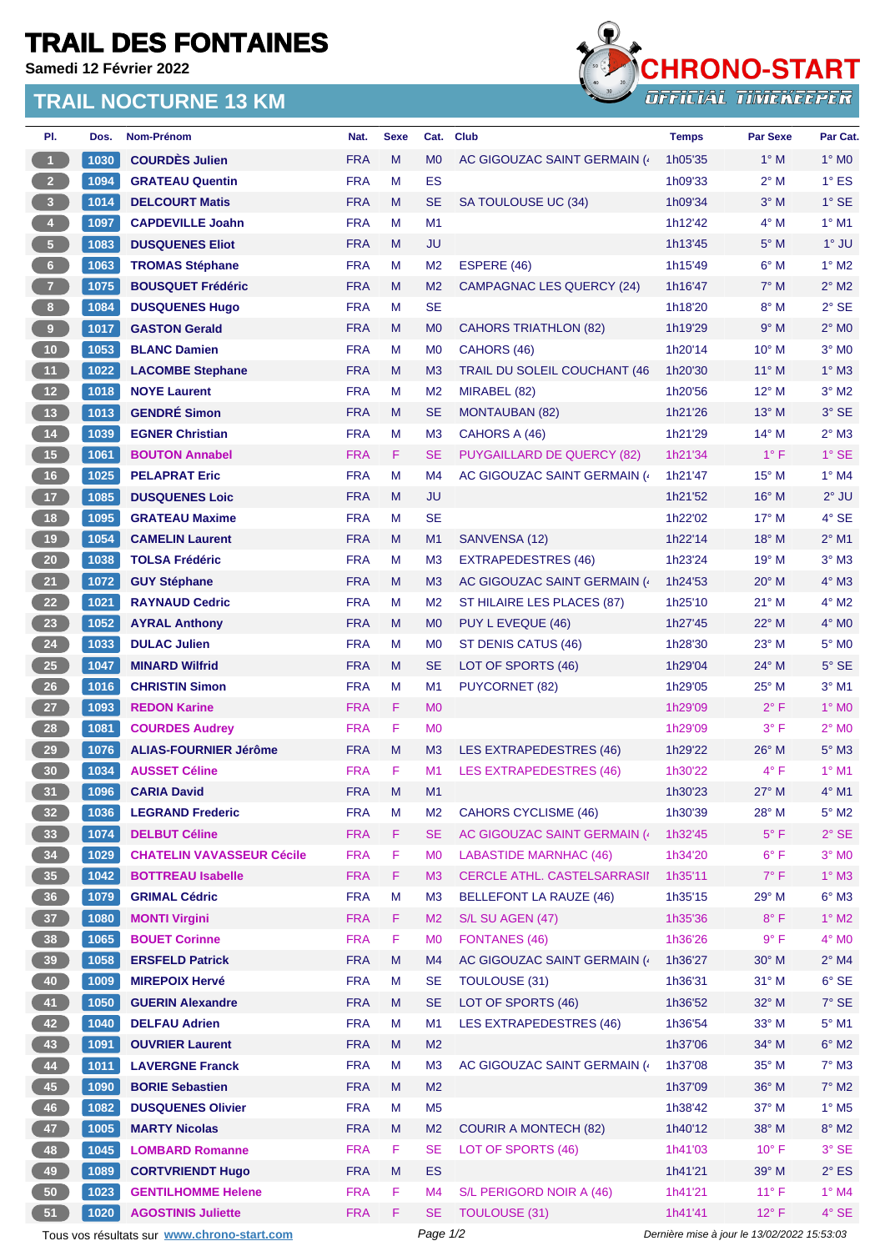## **TRAIL DES FONTAINES**

**Samedi 12 Février 2022**

## **TRAIL NOCTURNE 13 KM**



| PI.                                                                                                    | Dos.         | Nom-Prénom                                            | Nat.       | <b>Sexe</b> | Cat.           | <b>Club</b>                         | <b>Temps</b> | <b>Par Sexe</b> | Par Cat.                       |
|--------------------------------------------------------------------------------------------------------|--------------|-------------------------------------------------------|------------|-------------|----------------|-------------------------------------|--------------|-----------------|--------------------------------|
| $\overline{1}$                                                                                         | 1030         | <b>COURDES Julien</b>                                 | <b>FRA</b> | M           | M <sub>0</sub> | AC GIGOUZAC SAINT GERMAIN (         | 1h05'35      | $1^\circ$ M     | $1^\circ$ MO                   |
| 2 <sup>7</sup>                                                                                         | 1094         | <b>GRATEAU Quentin</b>                                | <b>FRA</b> | M           | <b>ES</b>      |                                     | 1h09'33      | $2^{\circ}$ M   | $1^\circ$ ES                   |
| 3 <sup>°</sup>                                                                                         | 1014         | <b>DELCOURT Matis</b>                                 | <b>FRA</b> | M           | <b>SE</b>      | SA TOULOUSE UC (34)                 | 1h09'34      | $3^\circ$ M     | $1^\circ$ SE                   |
| $\bigcirc$                                                                                             | 1097         | <b>CAPDEVILLE Joahn</b>                               | <b>FRA</b> | M           | M1             |                                     | 1h12'42      | $4^\circ$ M     | $1^\circ$ M1                   |
| 5 <sub>1</sub>                                                                                         | 1083         | <b>DUSQUENES Eliot</b>                                | <b>FRA</b> | M           | JU             |                                     | 1h13'45      | $5^\circ$ M     | $1°$ JU                        |
| $6 -$                                                                                                  | 1063         | <b>TROMAS Stéphane</b>                                | <b>FRA</b> | M           | M <sub>2</sub> | ESPERE (46)                         | 1h15'49      | $6^\circ$ M     | $1^\circ$ M2                   |
| $\overline{7}$                                                                                         | 1075         | <b>BOUSQUET Frédéric</b>                              | <b>FRA</b> | M           | M <sub>2</sub> | <b>CAMPAGNAC LES QUERCY (24)</b>    | 1h16'47      | $7^\circ$ M     | $2^{\circ}$ M2                 |
| 8 <sup>1</sup>                                                                                         | 1084         | <b>DUSQUENES Hugo</b>                                 | <b>FRA</b> | M           | <b>SE</b>      |                                     | 1h18'20      | $8^\circ$ M     | $2°$ SE                        |
| $\bullet$                                                                                              | 1017         | <b>GASTON Gerald</b>                                  | <b>FRA</b> | M           | M <sub>0</sub> | CAHORS TRIATHLON (82)               | 1h19'29      | 9° M            | $2^{\circ}$ MO                 |
| $10$                                                                                                   | 1053         | <b>BLANC Damien</b>                                   | <b>FRA</b> | M           | M <sub>0</sub> | CAHORS (46)                         | 1h20'14      | 10° M           | $3°$ MO                        |
| 11                                                                                                     | 1022         | <b>LACOMBE Stephane</b>                               | <b>FRA</b> | M           | M <sub>3</sub> | <b>TRAIL DU SOLEIL COUCHANT (46</b> | 1h20'30      | 11° M           | $1^\circ$ M3                   |
| 12                                                                                                     | 1018         | <b>NOYE Laurent</b>                                   | <b>FRA</b> | M           | M <sub>2</sub> | MIRABEL (82)                        | 1h20'56      | $12^{\circ}$ M  | $3°$ M2                        |
| 13                                                                                                     | 1013         | <b>GENDRÉ Simon</b>                                   | <b>FRA</b> | M           | <b>SE</b>      | <b>MONTAUBAN (82)</b>               | 1h21'26      | 13° M           | 3° SE                          |
| 14                                                                                                     | 1039         | <b>EGNER Christian</b>                                | <b>FRA</b> | M           | M <sub>3</sub> | CAHORS A (46)                       | 1h21'29      | $14^{\circ}$ M  | $2^{\circ}$ M3                 |
| 15                                                                                                     | 1061         | <b>BOUTON Annabel</b>                                 | <b>FRA</b> | F.          | <b>SE</b>      | <b>PUYGAILLARD DE QUERCY (82)</b>   | 1h21'34      | $1^{\circ}$ F   | $1^\circ$ SE                   |
| 16                                                                                                     | 1025         | <b>PELAPRAT Eric</b>                                  | <b>FRA</b> | M           | M4             | AC GIGOUZAC SAINT GERMAIN (         | 1h21'47      | 15° M           | $1^\circ$ M4                   |
| 17 <sup>2</sup>                                                                                        | 1085         | <b>DUSQUENES Loic</b>                                 | <b>FRA</b> | M           | JU             |                                     | 1h21'52      | 16° M           | $2^{\circ}$ JU                 |
| 18                                                                                                     | 1095         | <b>GRATEAU Maxime</b>                                 | <b>FRA</b> | м           | <b>SE</b>      |                                     | 1h22'02      | 17° M           | 4° SE                          |
| 19                                                                                                     | 1054         | <b>CAMELIN Laurent</b>                                | <b>FRA</b> | M           | M1             | SANVENSA (12)                       | 1h22'14      | 18° M           | $2^{\circ}$ M1                 |
| 20 <sub>2</sub>                                                                                        | 1038         | <b>TOLSA Frédéric</b>                                 | <b>FRA</b> | M           | M <sub>3</sub> | <b>EXTRAPEDESTRES (46)</b>          | 1h23'24      | 19° M           | $3°$ M $3$                     |
| 21                                                                                                     | 1072         | <b>GUY Stéphane</b>                                   | <b>FRA</b> | M           | M <sub>3</sub> | AC GIGOUZAC SAINT GERMAIN (         | 1h24'53      | $20^\circ$ M    | $4^\circ$ M3                   |
| 22                                                                                                     | 1021         | <b>RAYNAUD Cedric</b>                                 | <b>FRA</b> | M           | M <sub>2</sub> | ST HILAIRE LES PLACES (87)          | 1h25'10      | $21°$ M         | 4° M2                          |
| 23                                                                                                     | 1052         | <b>AYRAL Anthony</b>                                  | <b>FRA</b> | M           | M <sub>0</sub> | PUY L EVEQUE (46)                   | 1h27'45      | $22^{\circ}$ M  | $4^\circ$ MO                   |
| 24                                                                                                     | 1033         | <b>DULAC Julien</b>                                   | <b>FRA</b> | M           | M <sub>0</sub> | ST DENIS CATUS (46)                 | 1h28'30      | 23° M           | $5^\circ$ MO                   |
| 25                                                                                                     | $1047$       | <b>MINARD Wilfrid</b>                                 | <b>FRA</b> | M           | <b>SE</b>      | LOT OF SPORTS (46)                  | 1h29'04      | 24° M           | $5^\circ$ SE                   |
| 26                                                                                                     | 1016         | <b>CHRISTIN Simon</b>                                 | <b>FRA</b> | M           | M <sub>1</sub> | <b>PUYCORNET (82)</b>               | 1h29'05      | 25° M           | $3°$ M1                        |
| 27 <sup>°</sup>                                                                                        | 1093         | <b>REDON Karine</b>                                   | <b>FRA</b> | F.          | M <sub>0</sub> |                                     | 1h29'09      | $2^{\circ}$ F   | $1^\circ$ MO                   |
|                                                                                                        |              |                                                       | <b>FRA</b> | F           |                |                                     |              |                 |                                |
| 28                                                                                                     | 1081<br>1076 | <b>COURDES Audrey</b><br><b>ALIAS-FOURNIER Jérôme</b> |            |             | M <sub>0</sub> | <b>LES EXTRAPEDESTRES (46)</b>      | 1h29'09      | $3^{\circ}$ F   | $2^{\circ}$ MO<br>$5^\circ$ M3 |
| 29                                                                                                     |              |                                                       | <b>FRA</b> | M<br>F      | M <sub>3</sub> |                                     | 1h29'22      | $26^{\circ}$ M  | $1^\circ$ M1                   |
| 30 <sub>o</sub>                                                                                        | 1034         | <b>AUSSET Céline</b>                                  | <b>FRA</b> |             | M <sub>1</sub> | <b>LES EXTRAPEDESTRES (46)</b>      | 1h30'22      | $4^{\circ}$ F   |                                |
| 31                                                                                                     | 1096         | <b>CARIA David</b>                                    | <b>FRA</b> | M           | M1             |                                     | 1h30'23      | $27^\circ$ M    | $4^{\circ}$ M1                 |
| 32 <sub>2</sub>                                                                                        | 1036         | <b>LEGRAND Frederic</b>                               | <b>FRA</b> | M           | M <sub>2</sub> | <b>CAHORS CYCLISME (46)</b>         | 1h30'39      | 28° M           | $5^\circ$ M2                   |
| 33 <sup>°</sup>                                                                                        | 1074         | <b>DELBUT Céline</b>                                  | <b>FRA</b> | F.          | <b>SE</b>      | AC GIGOUZAC SAINT GERMAIN (         | 1h32'45      | $5^{\circ}$ F   | $2°$ SE                        |
| 34                                                                                                     | 1029         | <b>CHATELIN VAVASSEUR Cécile</b>                      | <b>FRA</b> | F           | M <sub>0</sub> | <b>LABASTIDE MARNHAC (46)</b>       | 1h34'20      | $6^{\circ}$ F   | $3°$ MO                        |
| 35 <sub>1</sub>                                                                                        | 1042         | <b>BOTTREAU Isabelle</b>                              | <b>FRA</b> | F.          | M <sub>3</sub> | <b>CERCLE ATHL. CASTELSARRASII</b>  | 1h35'11      | $7^\circ$ F     | $1^\circ$ M3                   |
| 36 <sup>°</sup>                                                                                        | 1079         | <b>GRIMAL Cédric</b>                                  | <b>FRA</b> | M           | M <sub>3</sub> | <b>BELLEFONT LA RAUZE (46)</b>      | 1h35'15      | 29° M           | $6^\circ$ M3                   |
| 37 <sup>°</sup>                                                                                        | 1080         | <b>MONTI Virgini</b>                                  | <b>FRA</b> | F.          | M <sub>2</sub> | S/L SU AGEN (47)                    | 1h35'36      | $8^{\circ}$ F   | $1^\circ$ M2                   |
| 38                                                                                                     | 1065         | <b>BOUET Corinne</b>                                  | <b>FRA</b> | F           | M <sub>0</sub> | <b>FONTANES (46)</b>                | 1h36'26      | 9° F            | $4^\circ$ MO                   |
| 39                                                                                                     | 1058         | <b>ERSFELD Patrick</b>                                | <b>FRA</b> | M           | M4             | AC GIGOUZAC SAINT GERMAIN (         | 1h36'27      | 30° M           | $2^{\circ}$ M4                 |
| 40                                                                                                     | 1009         | <b>MIREPOIX Hervé</b>                                 | <b>FRA</b> | M           | <b>SE</b>      | <b>TOULOUSE (31)</b>                | 1h36'31      | $31°$ M         | $6^{\circ}$ SE                 |
| 41                                                                                                     | 1050         | <b>GUERIN Alexandre</b>                               | <b>FRA</b> | M           | <b>SE</b>      | LOT OF SPORTS (46)                  | 1h36'52      | 32° M           | $7^\circ$ SE                   |
| 42                                                                                                     | 1040         | <b>DELFAU Adrien</b>                                  | <b>FRA</b> | M           | M1             | LES EXTRAPEDESTRES (46)             | 1h36'54      | 33° M           | $5^\circ$ M1                   |
| 43                                                                                                     | 1091         | <b>OUVRIER Laurent</b>                                | <b>FRA</b> | M           | M <sub>2</sub> |                                     | 1h37'06      | 34° M           | $6^\circ$ M2                   |
| 44                                                                                                     | 1011         | <b>LAVERGNE Franck</b>                                | <b>FRA</b> | M           | M <sub>3</sub> | AC GIGOUZAC SAINT GERMAIN (         | 1h37'08      | 35° M           | $7^\circ$ M3                   |
| 45                                                                                                     | 1090         | <b>BORIE Sebastien</b>                                | <b>FRA</b> | M           | M <sub>2</sub> |                                     | 1h37'09      | 36° M           | $7^\circ$ M2                   |
| 46                                                                                                     | 1082         | <b>DUSQUENES Olivier</b>                              | <b>FRA</b> | M           | M <sub>5</sub> |                                     | 1h38'42      | 37° M           | $1^\circ$ M <sub>5</sub>       |
| 47                                                                                                     | 1005         | <b>MARTY Nicolas</b>                                  | <b>FRA</b> | M           | M <sub>2</sub> | <b>COURIR A MONTECH (82)</b>        | 1h40'12      | 38° M           | $8^\circ$ M2                   |
| 48                                                                                                     | 1045         | <b>LOMBARD Romanne</b>                                | <b>FRA</b> | F.          | <b>SE</b>      | LOT OF SPORTS (46)                  | 1h41'03      | $10^{\circ}$ F  | 3° SE                          |
| 49                                                                                                     | 1089         | <b>CORTVRIENDT Hugo</b>                               | <b>FRA</b> | M           | <b>ES</b>      |                                     | 1h41'21      | 39° M           | $2^{\circ}$ ES                 |
| 50                                                                                                     | 1023         | <b>GENTILHOMME Helene</b>                             | <b>FRA</b> | F.          | M4             | S/L PERIGORD NOIR A (46)            | 1h41'21      | $11^{\circ}$ F  | $1^\circ$ M4                   |
| 51                                                                                                     | 1020         | <b>AGOSTINIS Juliette</b>                             | <b>FRA</b> | F           | <b>SE</b>      | <b>TOULOUSE (31)</b>                | 1h41'41      | $12^{\circ}$ F  | 4° SE                          |
| Tous vos résultats sur www.chrono-start.com<br>Page 1/2<br>Dernière mise à jour le 13/02/2022 15:53:03 |              |                                                       |            |             |                |                                     |              |                 |                                |